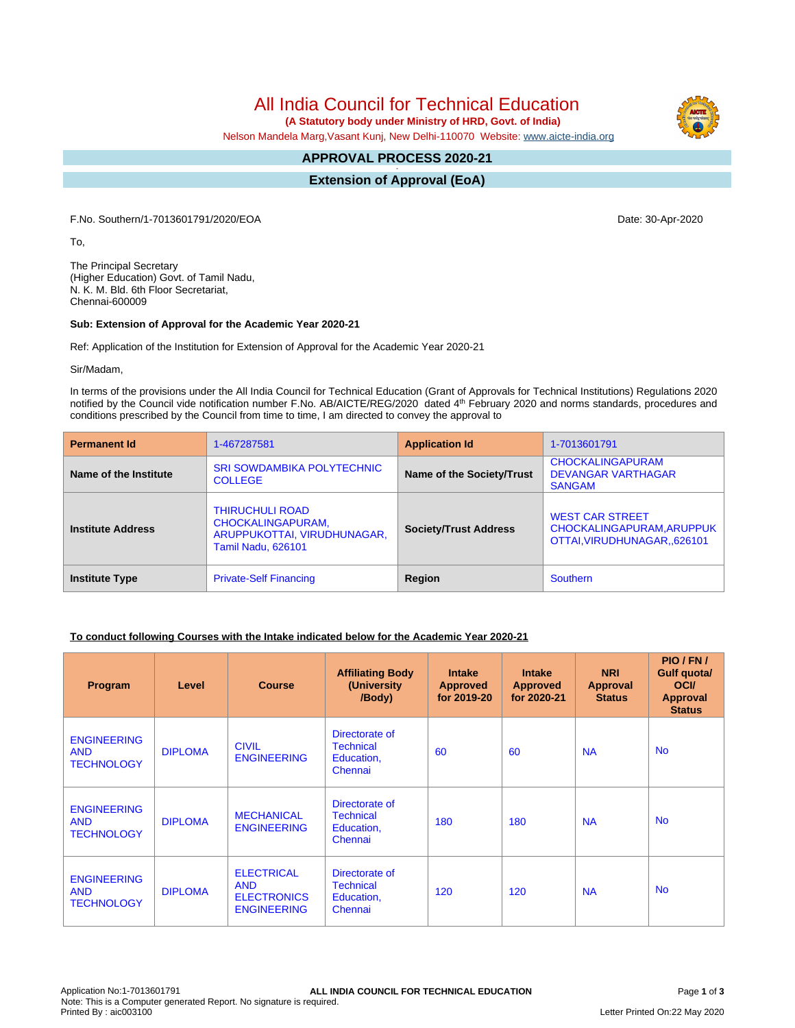All India Council for Technical Education

 **(A Statutory body under Ministry of HRD, Govt. of India)**

Nelson Mandela Marg,Vasant Kunj, New Delhi-110070 Website: [www.aicte-india.org](http://www.aicte-india.org)

#### **APPROVAL PROCESS 2020-21 -**

**Extension of Approval (EoA)**

F.No. Southern/1-7013601791/2020/EOA Date: 30-Apr-2020

To,

The Principal Secretary (Higher Education) Govt. of Tamil Nadu, N. K. M. Bld. 6th Floor Secretariat, Chennai-600009

### **Sub: Extension of Approval for the Academic Year 2020-21**

Ref: Application of the Institution for Extension of Approval for the Academic Year 2020-21

Sir/Madam,

In terms of the provisions under the All India Council for Technical Education (Grant of Approvals for Technical Institutions) Regulations 2020 notified by the Council vide notification number F.No. AB/AICTE/REG/2020 dated 4<sup>th</sup> February 2020 and norms standards, procedures and conditions prescribed by the Council from time to time, I am directed to convey the approval to

| <b>Permanent Id</b>      | 1-467287581                                                                                             | <b>Application Id</b>        | 1-7013601791                                                                        |  |
|--------------------------|---------------------------------------------------------------------------------------------------------|------------------------------|-------------------------------------------------------------------------------------|--|
| Name of the Institute    | <b>SRI SOWDAMBIKA POLYTECHNIC</b><br><b>COLLEGE</b>                                                     | Name of the Society/Trust    | <b>CHOCKALINGAPURAM</b><br><b>DEVANGAR VARTHAGAR</b><br><b>SANGAM</b>               |  |
| <b>Institute Address</b> | <b>THIRUCHULI ROAD</b><br>CHOCKALINGAPURAM,<br>ARUPPUKOTTAI, VIRUDHUNAGAR,<br><b>Tamil Nadu, 626101</b> | <b>Society/Trust Address</b> | <b>WEST CAR STREET</b><br>CHOCKALINGAPURAM, ARUPPUK<br>OTTAI, VIRUDHUNAGAR., 626101 |  |
| <b>Institute Type</b>    | <b>Private-Self Financing</b>                                                                           | Region                       | <b>Southern</b>                                                                     |  |

# **To conduct following Courses with the Intake indicated below for the Academic Year 2020-21**

| Program                                               | Level          | <b>Course</b>                                                               | <b>Affiliating Body</b><br>(University)<br>/Body)           | <b>Intake</b><br><b>Approved</b><br>for 2019-20 | <b>Intake</b><br><b>Approved</b><br>for 2020-21 | <b>NRI</b><br>Approval<br><b>Status</b> | PIO/FN/<br><b>Gulf quotal</b><br><b>OCI</b><br><b>Approval</b><br><b>Status</b> |
|-------------------------------------------------------|----------------|-----------------------------------------------------------------------------|-------------------------------------------------------------|-------------------------------------------------|-------------------------------------------------|-----------------------------------------|---------------------------------------------------------------------------------|
| <b>ENGINEERING</b><br><b>AND</b><br><b>TECHNOLOGY</b> | <b>DIPLOMA</b> | <b>CIVIL</b><br><b>ENGINEERING</b>                                          | Directorate of<br><b>Technical</b><br>Education,<br>Chennai | 60                                              | 60                                              | <b>NA</b>                               | <b>No</b>                                                                       |
| <b>ENGINEERING</b><br><b>AND</b><br><b>TECHNOLOGY</b> | <b>DIPLOMA</b> | <b>MECHANICAL</b><br><b>ENGINEERING</b>                                     | Directorate of<br><b>Technical</b><br>Education,<br>Chennai | 180                                             | 180                                             | <b>NA</b>                               | <b>No</b>                                                                       |
| <b>ENGINEERING</b><br><b>AND</b><br><b>TECHNOLOGY</b> | <b>DIPLOMA</b> | <b>ELECTRICAL</b><br><b>AND</b><br><b>ELECTRONICS</b><br><b>ENGINEERING</b> | Directorate of<br><b>Technical</b><br>Education,<br>Chennai | 120                                             | 120                                             | <b>NA</b>                               | <b>No</b>                                                                       |



Letter Printed On:22 May 2020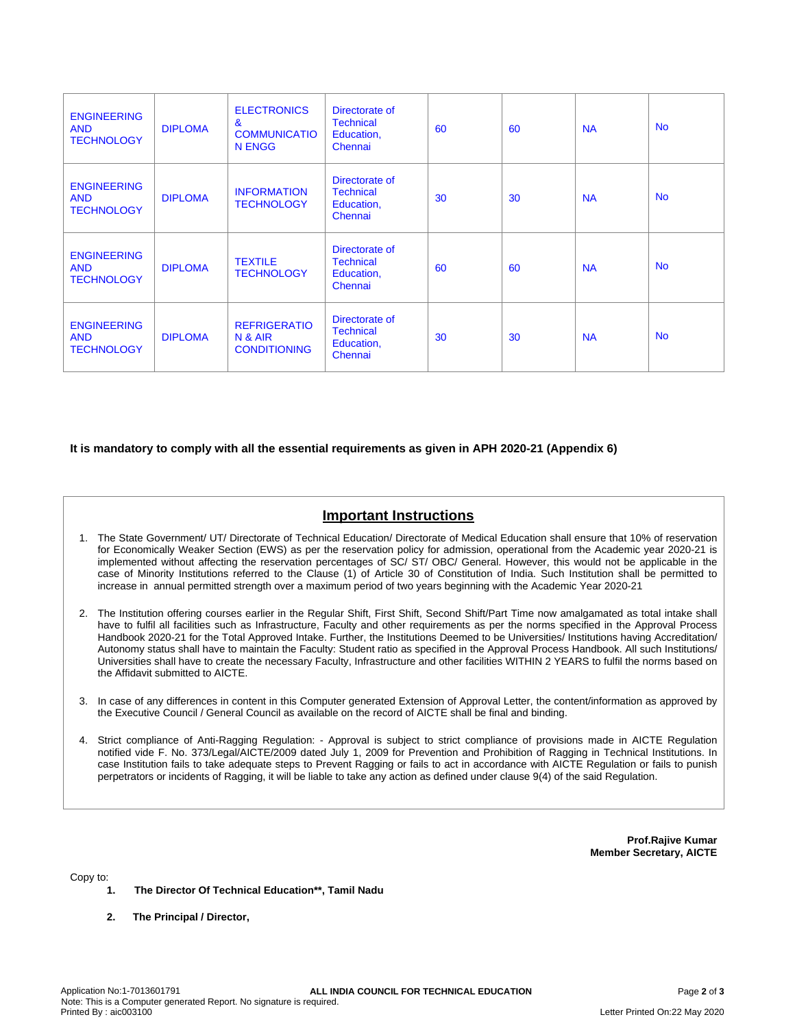| <b>ENGINEERING</b><br><b>AND</b><br><b>TECHNOLOGY</b> | <b>DIPLOMA</b> | <b>ELECTRONICS</b><br>$\mathbf{g}$<br><b>COMMUNICATIO</b><br>N ENGG | Directorate of<br><b>Technical</b><br>Education,<br>Chennai | 60 | 60 | <b>NA</b> | <b>No</b> |
|-------------------------------------------------------|----------------|---------------------------------------------------------------------|-------------------------------------------------------------|----|----|-----------|-----------|
| <b>ENGINEERING</b><br><b>AND</b><br><b>TECHNOLOGY</b> | <b>DIPLOMA</b> | <b>INFORMATION</b><br><b>TECHNOLOGY</b>                             | Directorate of<br><b>Technical</b><br>Education,<br>Chennai | 30 | 30 | <b>NA</b> | <b>No</b> |
| <b>ENGINEERING</b><br><b>AND</b><br><b>TECHNOLOGY</b> | <b>DIPLOMA</b> | <b>TEXTILE</b><br><b>TECHNOLOGY</b>                                 | Directorate of<br><b>Technical</b><br>Education,<br>Chennai | 60 | 60 | <b>NA</b> | <b>No</b> |
| <b>ENGINEERING</b><br><b>AND</b><br><b>TECHNOLOGY</b> | <b>DIPLOMA</b> | <b>REFRIGERATIO</b><br>N & AIR<br><b>CONDITIONING</b>               | Directorate of<br><b>Technical</b><br>Education,<br>Chennai | 30 | 30 | <b>NA</b> | <b>No</b> |

**It is mandatory to comply with all the essential requirements as given in APH 2020-21 (Appendix 6)**

# **Important Instructions**

- 1. The State Government/ UT/ Directorate of Technical Education/ Directorate of Medical Education shall ensure that 10% of reservation for Economically Weaker Section (EWS) as per the reservation policy for admission, operational from the Academic year 2020-21 is implemented without affecting the reservation percentages of SC/ ST/ OBC/ General. However, this would not be applicable in the case of Minority Institutions referred to the Clause (1) of Article 30 of Constitution of India. Such Institution shall be permitted to increase in annual permitted strength over a maximum period of two years beginning with the Academic Year 2020-21
- 2. The Institution offering courses earlier in the Regular Shift, First Shift, Second Shift/Part Time now amalgamated as total intake shall have to fulfil all facilities such as Infrastructure, Faculty and other requirements as per the norms specified in the Approval Process Handbook 2020-21 for the Total Approved Intake. Further, the Institutions Deemed to be Universities/ Institutions having Accreditation/ Autonomy status shall have to maintain the Faculty: Student ratio as specified in the Approval Process Handbook. All such Institutions/ Universities shall have to create the necessary Faculty, Infrastructure and other facilities WITHIN 2 YEARS to fulfil the norms based on the Affidavit submitted to AICTE.
- 3. In case of any differences in content in this Computer generated Extension of Approval Letter, the content/information as approved by the Executive Council / General Council as available on the record of AICTE shall be final and binding.
- 4. Strict compliance of Anti-Ragging Regulation: Approval is subject to strict compliance of provisions made in AICTE Regulation notified vide F. No. 373/Legal/AICTE/2009 dated July 1, 2009 for Prevention and Prohibition of Ragging in Technical Institutions. In case Institution fails to take adequate steps to Prevent Ragging or fails to act in accordance with AICTE Regulation or fails to punish perpetrators or incidents of Ragging, it will be liable to take any action as defined under clause 9(4) of the said Regulation.

**Prof.Rajive Kumar Member Secretary, AICTE**

Copy to:

- **1. The Director Of Technical Education\*\*, Tamil Nadu**
- **2. The Principal / Director,**